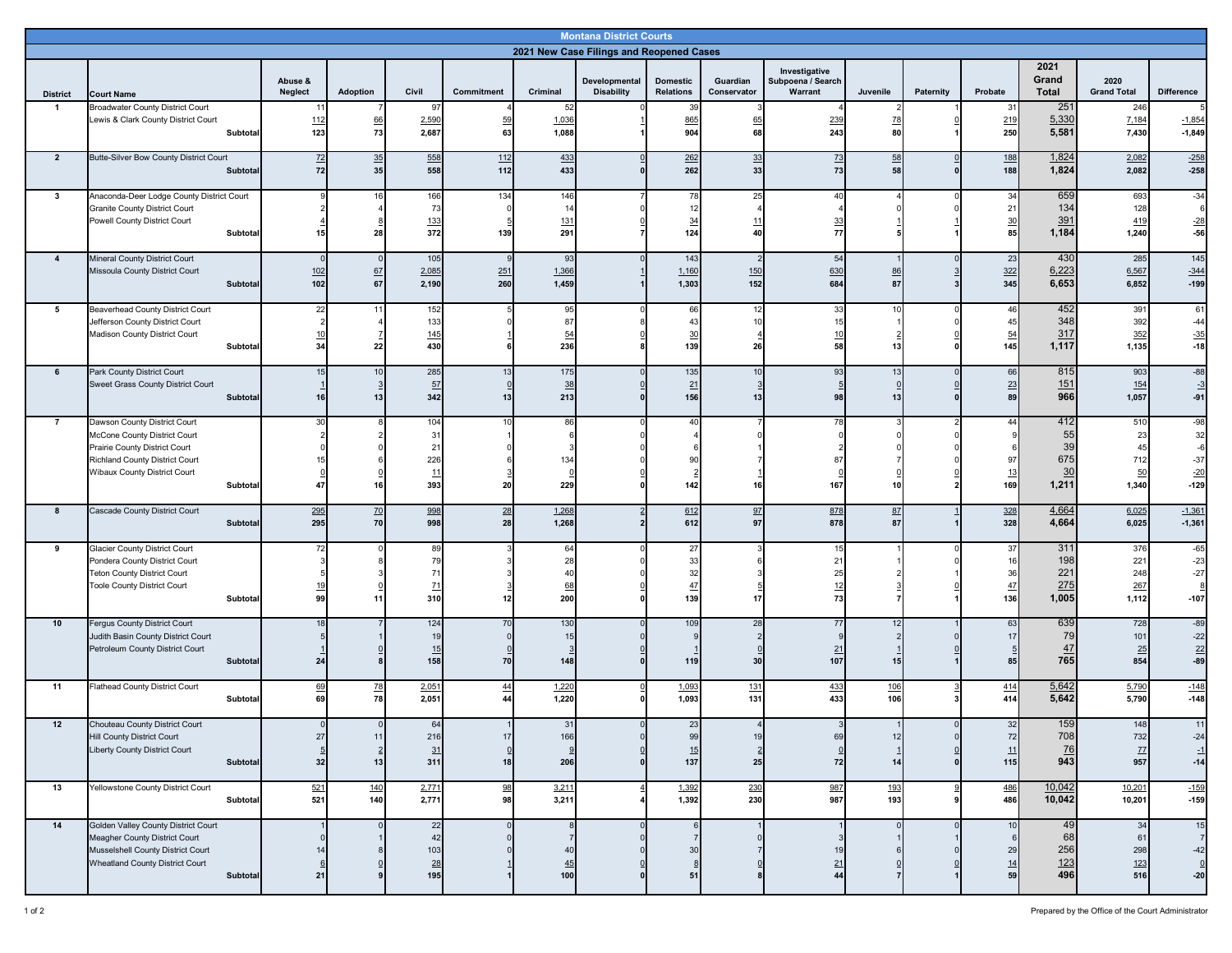| <b>Montana District Courts</b><br>2021 New Case Filings and Reopened Cases |                                                                                                                                                                                    |                              |                            |                                                     |                                                    |                                                      |                                    |                                     |                             |                              |                 |           |                                                |                                       |                                       |                                                           |
|----------------------------------------------------------------------------|------------------------------------------------------------------------------------------------------------------------------------------------------------------------------------|------------------------------|----------------------------|-----------------------------------------------------|----------------------------------------------------|------------------------------------------------------|------------------------------------|-------------------------------------|-----------------------------|------------------------------|-----------------|-----------|------------------------------------------------|---------------------------------------|---------------------------------------|-----------------------------------------------------------|
| 2021<br>Investigative                                                      |                                                                                                                                                                                    |                              |                            |                                                     |                                                    |                                                      |                                    |                                     |                             |                              |                 |           |                                                |                                       |                                       |                                                           |
| <b>District</b>                                                            | <b>Court Name</b>                                                                                                                                                                  | Abuse &<br>Neglect           | Adoption                   | Civil                                               | Commitment                                         | Criminal                                             | Developmental<br><b>Disability</b> | <b>Domestic</b><br><b>Relations</b> | Guardian<br>Conservator     | Subpoena / Search<br>Warrant | Juvenile        | Paternity | Probate                                        | Grand<br>Total                        | 2020<br><b>Grand Total</b>            | <b>Difference</b>                                         |
| $\mathbf{1}$                                                               | Broadwater County District Court<br>Lewis & Clark County District Court<br>Subtotal                                                                                                | 11<br>112<br>123             | 66<br>73                   | 0<br>2,590<br>2,687                                 | 59<br>63                                           | 52<br>1,036<br>1,088                                 |                                    | 39<br>865<br>904                    | 65<br>68                    | 239<br>243                   | <u>78</u><br>80 |           | 31<br>219<br>250                               | 251<br>5,330<br>5,581                 | 246<br>7,184<br>7,430                 | 5<br>$-1,854$<br>$-1,849$                                 |
| $\overline{2}$                                                             | Butte-Silver Bow County District Court<br>Subtotal                                                                                                                                 | $Z^2$<br>72                  | 35<br>35                   | 558<br>558                                          | 112<br>112                                         | 433<br>433                                           |                                    | 262<br>262                          | 33<br>33                    | $\frac{73}{2}$<br>73         | 58<br>58        |           | 188<br>188                                     | 1,824<br>1,824                        | 2,082<br>2,082                        | $-258$<br>$-258$                                          |
| $\mathbf{3}$                                                               | Anaconda-Deer Lodge County District Court<br><b>Granite County District Court</b><br>Powell County District Court<br>Subtotal                                                      | 15                           | 16<br>28                   | 166<br>73<br>133<br>372                             | 134<br>139                                         | 146<br>14<br>131<br>291                              |                                    | 78<br>12<br>$\frac{34}{5}$<br>124   | 25<br>11<br>40              | 40<br>33<br>77               |                 |           | 34<br>21<br>$\frac{30}{85}$                    | 659<br>134<br>391<br>1,184            | 693<br>128<br>419<br>1,240            | $-34$<br>6<br>$-28$<br>$-56$                              |
| $\overline{\mathbf{4}}$                                                    | <b>Mineral County District Court</b><br>Missoula County District Court<br>Subtotal                                                                                                 | $\Omega$<br>102<br>102       | $\overline{0}$<br>67<br>67 | 105<br>2,085<br>2,190                               | $\mathbf{q}$<br>251<br>260                         | 93<br>1,366<br>1,459                                 |                                    | 143<br>1,160<br>1,303               | 2<br>150<br>152             | 54<br>630<br>684             | 86<br>87        |           | 23<br>322<br>345                               | 430<br>6,223<br>6,653                 | 285<br>6,567<br>6,852                 | 145<br>$-344$<br>$-199$                                   |
| 5                                                                          | <b>Beaverhead County District Court</b><br>Jefferson County District Court<br>Madison County District Court<br>Subtotal                                                            | 22<br>10<br>34               | 11<br>22                   | 152<br>133<br>145<br>430                            |                                                    | 95<br>87<br>54<br>236                                |                                    | 66<br>43<br>$\frac{30}{2}$<br>139   | 12<br>10 <sup>1</sup><br>26 | 33<br>15<br>10<br>58         | 10<br>13        |           | 46<br>45<br>54<br>145                          | 452<br>348<br>317<br>1,117            | 391<br>392<br>352<br>1,135            | 61<br>$-44$<br>$-35$<br>$-18$                             |
| 6                                                                          | Park County District Court<br>Sweet Grass County District Court<br>Subtotal                                                                                                        | 15<br>16                     | 10<br>3<br>13              | 285<br>57<br>342                                    | 13<br>0<br>13                                      | 175<br>38<br>213                                     |                                    | 135<br>21<br>156                    | 10<br>13                    | 93<br>98                     | 13<br>13        |           | 66<br>$\frac{23}{89}$                          | 815<br>151<br>966                     | 903<br>154<br>1,057                   | $-88$<br>$-3$<br>$-91$                                    |
| $\overline{7}$                                                             | Dawson County District Court<br>McCone County District Court<br>Prairie County District Court<br><b>Richland County District Court</b><br>Wibaux County District Court<br>Subtotal | 30<br>47                     | 8<br>16                    | 104<br>31<br>21<br>226<br>11<br>393                 | 10<br>20                                           | 86<br>6<br>134<br>$\Omega$<br>229                    |                                    | 40<br>-91<br>142                    | 16                          | 78<br>87<br>167              | 10              |           | 44<br>97<br>13<br>169                          | 412<br>55<br>39<br>675<br>30<br>1,211 | 510<br>23<br>45<br>712<br>50<br>1,340 | $-98$<br>32<br>$-6$<br>$-37$<br>$-20$<br>$-129$           |
| 8                                                                          | Cascade County District Court<br>Subtotal                                                                                                                                          | 295<br>295                   | 70<br>70                   | 998<br>998                                          | 28<br>28                                           | 1,268<br>1,268                                       |                                    | 612<br>612                          | 97<br>97                    | 878<br>878                   | 87<br>87        |           | 328<br>328                                     | 4,664<br>4,664                        | 6,025<br>6,025                        | $-1,361$<br>$-1,361$                                      |
| 9                                                                          | <b>Glacier County District Court</b><br>Pondera County District Court<br><b>Teton County District Court</b><br><b>Toole County District Court</b><br>Subtotal                      | 72<br><u>19</u><br>99        | 11                         | 89<br>79<br>71<br>$\mathbf{Z}$<br>310               | 12                                                 | 64<br>28<br>40<br>68<br>200                          |                                    | 27<br>33<br>32<br>47<br>139         | 17                          | 15<br>21<br>25<br>12<br>73   |                 |           | 37<br>16<br>36<br>$\frac{47}{1}$<br>136        | 311<br>198<br>221<br>275<br>1,005     | 376<br>221<br>248<br>267<br>1,112     | $-65$<br>$-23$<br>$-27$<br>8<br>$-107$                    |
| 10                                                                         | Fergus County District Court<br>Judith Basin County District Court<br>Petroleum County District Court<br>Subtotal                                                                  | 18<br>24                     |                            | 124<br>19<br>15<br>158                              | 70<br>70                                           | 130<br>15<br>3<br>148                                |                                    | 109<br>119                          | 28<br>30                    | 77<br>21<br>107              | 12<br>15        |           | 63<br>17<br>$\overline{5}$<br>85               | 639<br>79<br>47<br>765                | 728<br>101<br>25<br>854               | $-89$<br>$-22$<br>22<br>$-89$                             |
| 11                                                                         | <b>Flathead County District Court</b><br>Subtotal                                                                                                                                  | 69<br>69                     | 78<br>78                   | 2.051<br>2,051                                      | $\overline{44}$<br>44                              | 1,220<br>1,220                                       |                                    | 1,093<br>1,093                      | 131<br>131                  | 433<br>433                   | 106<br>106      |           | 414<br>414                                     | 5,642<br>5,642                        | 5,790<br>5,790                        | $-148$<br>$-148$                                          |
| 12                                                                         | Chouteau County District Court<br><b>Hill County District Court</b><br><b>Liberty County District Court</b><br><b>Subtotal</b>                                                     | 27<br>$\frac{5}{32}$         | 11<br>$\overline{2}$<br>13 | b.<br>216<br>31<br>311                              | $17\,$<br>$\begin{array}{c}\n0 \\ 18\n\end{array}$ | -31<br>166<br>9<br>206                               |                                    | 99<br>15<br>137                     | 19<br>$\overline{2}$<br>25  | 69<br>72                     | 12<br>14        |           | 32<br>72<br>11<br>115                          | ၂ ၁၂<br>708<br>76<br>943              | 14≀<br>732<br>77<br>957               | -11<br>$-24$<br>$\equiv$<br>$-14$                         |
| 13                                                                         | Yellowstone County District Court<br>Subtotal                                                                                                                                      | 521<br>521                   | 140<br>140                 | 2,771<br>2,771                                      | $\frac{98}{98}$                                    | 3,211<br>3,211                                       |                                    | 1,392<br>1,392                      | 230<br>230                  | 987<br>987                   | 193<br>193      |           | 486<br>486                                     | 10,042<br>10,042                      | 10,201<br>10,201                      | $-159$<br>$-159$                                          |
| 14                                                                         | Golden Valley County District Court<br>Meagher County District Court<br>Musselshell County District Court<br><b>Wheatland County District Court</b><br><b>Subtotal</b>             | $\mathbf 0$<br>14<br>6<br>21 | $\Omega$                   | 22<br>42<br>103<br>$\underline{\mathbf{28}}$<br>195 |                                                    | 8<br>$\overline{7}$<br>40<br>$\underline{45}$<br>100 |                                    | 6<br>30<br>8<br>51                  |                             | 19<br>21<br>44               |                 |           | 10<br>$6\phantom{1}6$<br>29<br>$\frac{14}{59}$ | 49<br>68<br>256<br>$\frac{123}{496}$  | 34<br>61<br>298<br>123<br>516         | 15<br>$\overline{7}$<br>$-42$<br>$\underline{0}$<br>$-20$ |